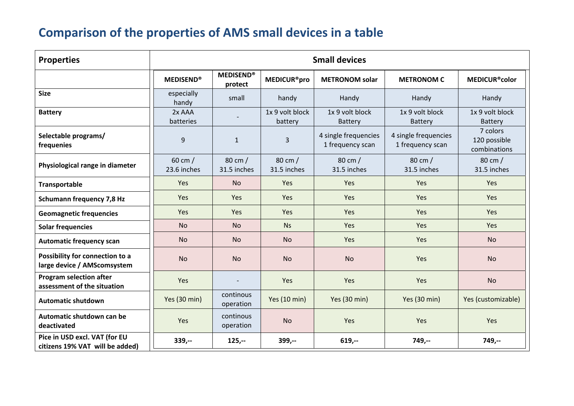## **Comparison of the properties of AMS small devices in <sup>a</sup> table**

| <b>Properties</b>                                                | <b>Small devices</b>             |                             |                               |                                          |                                          |                                          |
|------------------------------------------------------------------|----------------------------------|-----------------------------|-------------------------------|------------------------------------------|------------------------------------------|------------------------------------------|
|                                                                  | <b>MEDISEND®</b>                 | <b>MEDISEND®</b><br>protect | <b>MEDICUR<sup>®</sup>pro</b> | <b>METRONOM solar</b>                    | <b>METRONOM C</b>                        | <b>MEDICUR<sup>®</sup>color</b>          |
| <b>Size</b>                                                      | especially<br>handy              | small                       | handy                         | Handy                                    | Handy                                    | Handy                                    |
| <b>Battery</b>                                                   | 2x AAA<br>batteries              |                             | 1x 9 volt block<br>battery    | 1x 9 volt block<br>Battery               | 1x 9 volt block<br><b>Battery</b>        | 1x 9 volt block<br><b>Battery</b>        |
| Selectable programs/<br>frequenies                               | 9                                | $\mathbf{1}$                | $\mathbf{3}$                  | 4 single frequencies<br>1 frequency scan | 4 single frequencies<br>1 frequency scan | 7 colors<br>120 possible<br>combinations |
| Physiological range in diameter                                  | $60 \text{ cm}$ /<br>23.6 inches | 80 cm /<br>31.5 inches      | 80 cm /<br>31.5 inches        | 80 cm /<br>31.5 inches                   | $80 \text{ cm}$ /<br>31.5 inches         | 80 cm /<br>31.5 inches                   |
| <b>Transportable</b>                                             | Yes                              | <b>No</b>                   | Yes                           | Yes                                      | Yes                                      | Yes                                      |
| <b>Schumann frequency 7,8 Hz</b>                                 | Yes                              | Yes                         | Yes                           | Yes                                      | Yes                                      | Yes                                      |
| <b>Geomagnetic frequencies</b>                                   | Yes                              | Yes                         | Yes                           | Yes                                      | Yes                                      | Yes                                      |
| <b>Solar frequencies</b>                                         | <b>No</b>                        | <b>No</b>                   | <b>Ns</b>                     | Yes                                      | Yes                                      | <b>Yes</b>                               |
| <b>Automatic frequency scan</b>                                  | N <sub>o</sub>                   | <b>No</b>                   | <b>No</b>                     | Yes                                      | Yes                                      | <b>No</b>                                |
| Possibility for connection to a<br>large device / AMScomsystem   | <b>No</b>                        | <b>No</b>                   | <b>No</b>                     | <b>No</b>                                | Yes                                      | <b>No</b>                                |
| <b>Program selection after</b><br>assessment of the situation    | Yes                              |                             | Yes                           | Yes                                      | Yes                                      | <b>No</b>                                |
| <b>Automatic shutdown</b>                                        | Yes (30 min)                     | continous<br>operation      | Yes (10 min)                  | Yes (30 min)                             | Yes (30 min)                             | Yes (customizable)                       |
| Automatic shutdown can be<br>deactivated                         | Yes                              | continous<br>operation      | <b>No</b>                     | Yes                                      | Yes                                      | Yes                                      |
| Pice in USD excl. VAT (for EU<br>citizens 19% VAT will be added) | $339,-$                          | $125,-$                     | $399,-$                       | $619,-$                                  | $749,-$                                  | $749,-$                                  |